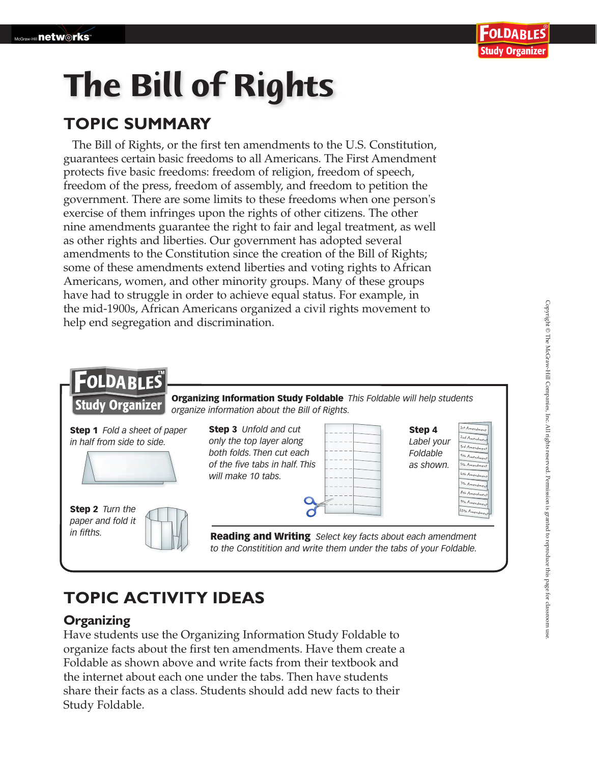

# **The Bill of Rights**

### **TOPIC SUMMARY**

The Bill of Rights, or the first ten amendments to the U.S. Constitution, guarantees certain basic freedoms to all Americans. The First Amendment protects five basic freedoms: freedom of religion, freedom of speech, freedom of the press, freedom of assembly, and freedom to petition the government. There are some limits to these freedoms when one person's exercise of them infringes upon the rights of other citizens. The other nine amendments guarantee the right to fair and legal treatment, as well as other rights and liberties. Our government has adopted several amendments to the Constitution since the creation of the Bill of Rights; some of these amendments extend liberties and voting rights to African Americans, women, and other minority groups. Many of these groups have had to struggle in order to achieve equal status. For example, in the mid-1900s, African Americans organized a civil rights movement to help end segregation and discrimination.



## **TOPIC ACTIVITY IDEAS**

#### **Organizing**

Have students use the Organizing Information Study Foldable to organize facts about the first ten amendments. Have them create a Foldable as shown above and write facts from their textbook and the internet about each one under the tabs. Then have students share their facts as a class. Students should add new facts to their Study Foldable.